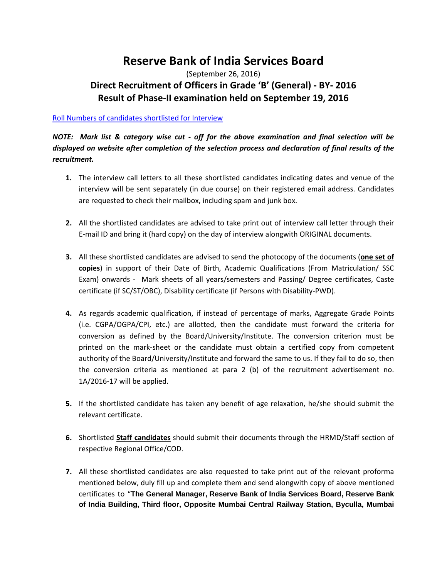## **Reserve Bank of India Services Board**

## (September 26, 2016) **Direct Recruitment of Officers in Grade 'B' (General) - BY- 2016 Result of Phase-II examination held on September 19, 2016**

## [Roll Numbers of candidates shortlisted for Interview](http://rbidocs.rbi.org.in/rdocs/content/pdfs/ROLLNO26092016.pdf)

## *NOTE: Mark list & category wise cut - off for the above examination and final selection will be displayed on website after completion of the selection process and declaration of final results of the recruitment.*

- **1.** The interview call letters to all these shortlisted candidates indicating dates and venue of the interview will be sent separately (in due course) on their registered email address. Candidates are requested to check their mailbox, including spam and junk box.
- **2.** All the shortlisted candidates are advised to take print out of interview call letter through their E-mail ID and bring it (hard copy) on the day of interview alongwith ORIGINAL documents.
- **3.** All these shortlisted candidates are advised to send the photocopy of the documents (**one set of copies**) in support of their Date of Birth, Academic Qualifications (From Matriculation/ SSC Exam) onwards - Mark sheets of all years/semesters and Passing/ Degree certificates, Caste certificate (if SC/ST/OBC), Disability certificate (if Persons with Disability-PWD).
- **4.** As regards academic qualification, if instead of percentage of marks, Aggregate Grade Points (i.e. CGPA/OGPA/CPI, etc.) are allotted, then the candidate must forward the criteria for conversion as defined by the Board/University/Institute. The conversion criterion must be printed on the mark-sheet or the candidate must obtain a certified copy from competent authority of the Board/University/Institute and forward the same to us. If they fail to do so, then the conversion criteria as mentioned at para 2 (b) of the recruitment advertisement no. 1A/2016-17 will be applied.
- **5.** If the shortlisted candidate has taken any benefit of age relaxation, he/she should submit the relevant certificate.
- **6.** Shortlisted **Staff candidates** should submit their documents through the HRMD/Staff section of respective Regional Office/COD.
- **7.** All these shortlisted candidates are also requested to take print out of the relevant proforma mentioned below, duly fill up and complete them and send alongwith copy of above mentioned certificates to "**The General Manager, Reserve Bank of India Services Board, Reserve Bank of India Building, Third floor, Opposite Mumbai Central Railway Station, Byculla, Mumbai**